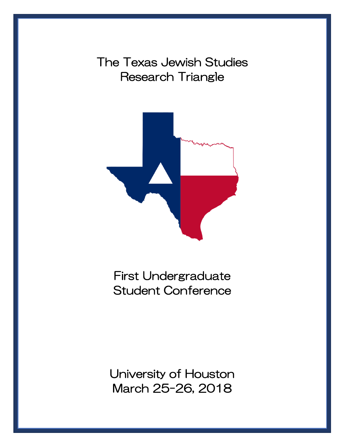The Texas Jewish Studies Research Triangle



First Undergraduate Student Conference

University of Houston March 25-26, 2018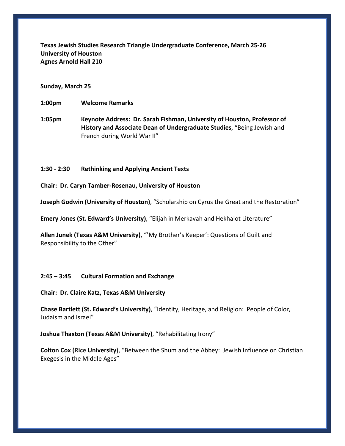**Texas Jewish Studies Research Triangle Undergraduate Conference, March 25-26 University of Houston Agnes Arnold Hall 210**

## **Sunday, March 25**

**1:00pm Welcome Remarks**

**1:05pm Keynote Address: Dr. Sarah Fishman, University of Houston, Professor of History and Associate Dean of Undergraduate Studies**, "Being Jewish and French during World War II"

## **1:30 - 2:30 Rethinking and Applying Ancient Texts**

**Chair: Dr. Caryn Tamber-Rosenau, University of Houston**

**Joseph Godwin (University of Houston)**, "Scholarship on Cyrus the Great and the Restoration"

**Emery Jones (St. Edward's University)**, "Elijah in Merkavah and Hekhalot Literature"

**Allen Junek (Texas A&M University)**, "'My Brother's Keeper': Questions of Guilt and Responsibility to the Other"

## **2:45 – 3:45 Cultural Formation and Exchange**

**Chair: Dr. Claire Katz, Texas A&M University**

**Chase Bartlett (St. Edward's University)**, "Identity, Heritage, and Religion: People of Color, Judaism and Israel"

**Joshua Thaxton (Texas A&M University)**, "Rehabilitating Irony"

**Colton Cox (Rice University)**, "Between the Shum and the Abbey: Jewish Influence on Christian Exegesis in the Middle Ages"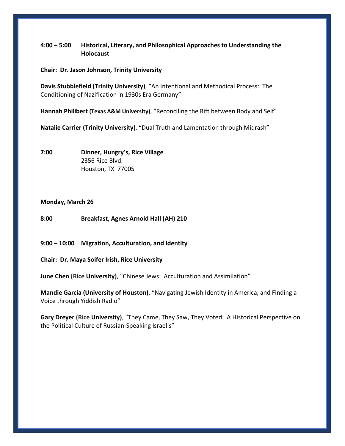# **4:00 – 5:00 Historical, Literary, and Philosophical Approaches to Understanding the Holocaust**

**Chair: Dr. Jason Johnson, Trinity University**

**Davis Stubblefield (Trinity University)**, "An Intentional and Methodical Process: The Conditioning of Nazification in 1930s Era Germany"

**Hannah Philibert (Texas A&M University)**, "Reconciling the Rift between Body and Self"

**Natalie Carrier (Trinity University)**, "Dual Truth and Lamentation through Midrash"

**7:00 Dinner, Hungry's, Rice Village** 2356 Rice Blvd. Houston, TX 77005

#### **Monday, March 26**

**8:00 Breakfast, Agnes Arnold Hall (AH) 210**

**9:00 – 10:00 Migration, Acculturation, and Identity**

**Chair: Dr. Maya Soifer Irish, Rice University**

**June Chen (Rice University)**, "Chinese Jews: Acculturation and Assimilation"

**Mandie Garcia (University of Houston)**, "Navigating Jewish Identity in America, and Finding a Voice through Yiddish Radio"

**Gary Dreyer (Rice University)**, "They Came, They Saw, They Voted: A Historical Perspective on the Political Culture of Russian-Speaking Israelis"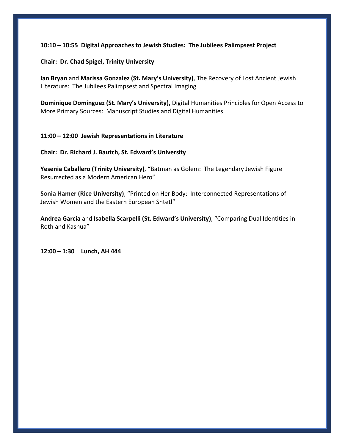## **10:10 – 10:55 Digital Approaches to Jewish Studies: The Jubilees Palimpsest Project**

**Chair: Dr. Chad Spigel, Trinity University**

**Ian Bryan** and **Marissa Gonzalez (St. Mary's University)**, The Recovery of Lost Ancient Jewish Literature: The Jubilees Palimpsest and Spectral Imaging

**Dominique Dominguez (St. Mary's University),** Digital Humanities Principles for Open Access to More Primary Sources: Manuscript Studies and Digital Humanities

## **11:00 – 12:00 Jewish Representations in Literature**

**Chair: Dr. Richard J. Bautch, St. Edward's University**

**Yesenia Caballero (Trinity University)**, "Batman as Golem: The Legendary Jewish Figure Resurrected as a Modern American Hero"

**Sonia Hamer (Rice University)**, "Printed on Her Body: Interconnected Representations of Jewish Women and the Eastern European Shtetl"

**Andrea Garcia** and **Isabella Scarpelli (St. Edward's University)**, "Comparing Dual Identities in Roth and Kashua"

**12:00 – 1:30 Lunch, AH 444**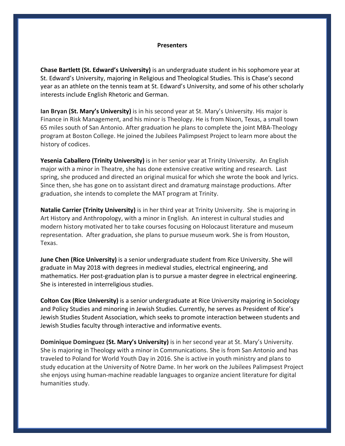#### **Presenters**

**Chase Bartlett (St. Edward's University)** is an undergraduate student in his sophomore year at St. Edward's University, majoring in Religious and Theological Studies. This is Chase's second year as an athlete on the tennis team at St. Edward's University, and some of his other scholarly interests include English Rhetoric and German.

**Ian Bryan (St. Mary's University)** is in his second year at St. Mary's University. His major is Finance in Risk Management, and his minor is Theology. He is from Nixon, Texas, a small town 65 miles south of San Antonio. After graduation he plans to complete the joint MBA-Theology program at Boston College. He joined the Jubilees Palimpsest Project to learn more about the history of codices.

**Yesenia Caballero (Trinity University)** is in her senior year at Trinity University. An English major with a minor in Theatre, she has done extensive creative writing and research. Last spring, she produced and directed an original musical for which she wrote the book and lyrics. Since then, she has gone on to assistant direct and dramaturg mainstage productions. After graduation, she intends to complete the MAT program at Trinity.

**Natalie Carrier (Trinity University)** is in her third year at Trinity University. She is majoring in Art History and Anthropology, with a minor in English. An interest in cultural studies and modern history motivated her to take courses focusing on Holocaust literature and museum representation. After graduation, she plans to pursue museum work. She is from Houston, Texas.

**June Chen (Rice University)** is a senior undergraduate student from Rice University. She will graduate in May 2018 with degrees in medieval studies, electrical engineering, and mathematics. Her post-graduation plan is to pursue a master degree in electrical engineering. She is interested in interreligious studies.

**Colton Cox (Rice University)** is a senior undergraduate at Rice University majoring in Sociology and Policy Studies and minoring in Jewish Studies. Currently, he serves as President of Rice's Jewish Studies Student Association, which seeks to promote interaction between students and Jewish Studies faculty through interactive and informative events.

**Dominique Dominguez (St. Mary's University)** is in her second year at St. Mary's University. She is majoring in Theology with a minor in Communications. She is from San Antonio and has traveled to Poland for World Youth Day in 2016. She is active in youth ministry and plans to study education at the University of Notre Dame. In her work on the Jubilees Palimpsest Project she enjoys using human-machine readable languages to organize ancient literature for digital humanities study.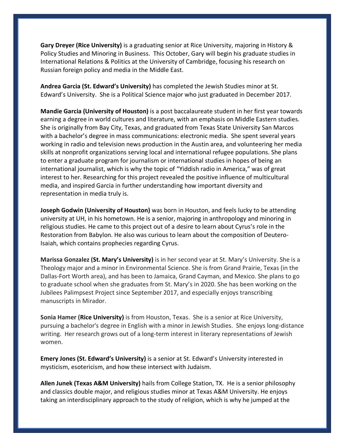**Gary Dreyer (Rice University)** is a graduating senior at Rice University, majoring in History & Policy Studies and Minoring in Business. This October, Gary will begin his graduate studies in International Relations & Politics at the University of Cambridge, focusing his research on Russian foreign policy and media in the Middle East.

**Andrea Garcia (St. Edward's University)** has completed the Jewish Studies minor at St. Edward's University. She is a Political Science major who just graduated in December 2017.

**Mandie Garcia (University of Houston)** is a post baccalaureate student in her first year towards earning a degree in world cultures and literature, with an emphasis on Middle Eastern studies. She is originally from Bay City, Texas, and graduated from Texas State University San Marcos with a bachelor's degree in mass communications: electronic media. She spent several years working in radio and television news production in the Austin area, and volunteering her media skills at nonprofit organizations serving local and international refugee populations. She plans to enter a graduate program for journalism or international studies in hopes of being an international journalist, which is why the topic of "Yiddish radio in America," was of great interest to her. Researching for this project revealed the positive influence of multicultural media, and inspired Garcia in further understanding how important diversity and representation in media truly is.

**Joseph Godwin (University of Houston)** was born in Houston, and feels lucky to be attending university at UH, in his hometown. He is a senior, majoring in anthropology and minoring in religious studies. He came to this project out of a desire to learn about Cyrus's role in the Restoration from Babylon. He also was curious to learn about the composition of Deutero-Isaiah, which contains prophecies regarding Cyrus.

**Marissa Gonzalez (St. Mary's University)** is in her second year at St. Mary's University. She is a Theology major and a minor in Environmental Science. She is from Grand Prairie, Texas (in the Dallas-Fort Worth area), and has been to Jamaica, Grand Cayman, and Mexico. She plans to go to graduate school when she graduates from St. Mary's in 2020. She has been working on the Jubilees Palimpsest Project since September 2017, and especially enjoys transcribing manuscripts in Mirador.

**Sonia Hamer (Rice University)** is from Houston, Texas. She is a senior at Rice University, pursuing a bachelor's degree in English with a minor in Jewish Studies. She enjoys long-distance writing. Her research grows out of a long-term interest in literary representations of Jewish women.

**Emery Jones (St. Edward's University)** is a senior at St. Edward's University interested in mysticism, esotericism, and how these intersect with Judaism.

**Allen Junek (Texas A&M University)** hails from College Station, TX. He is a senior philosophy and classics double major, and religious studies minor at Texas A&M University. He enjoys taking an interdisciplinary approach to the study of religion, which is why he jumped at the